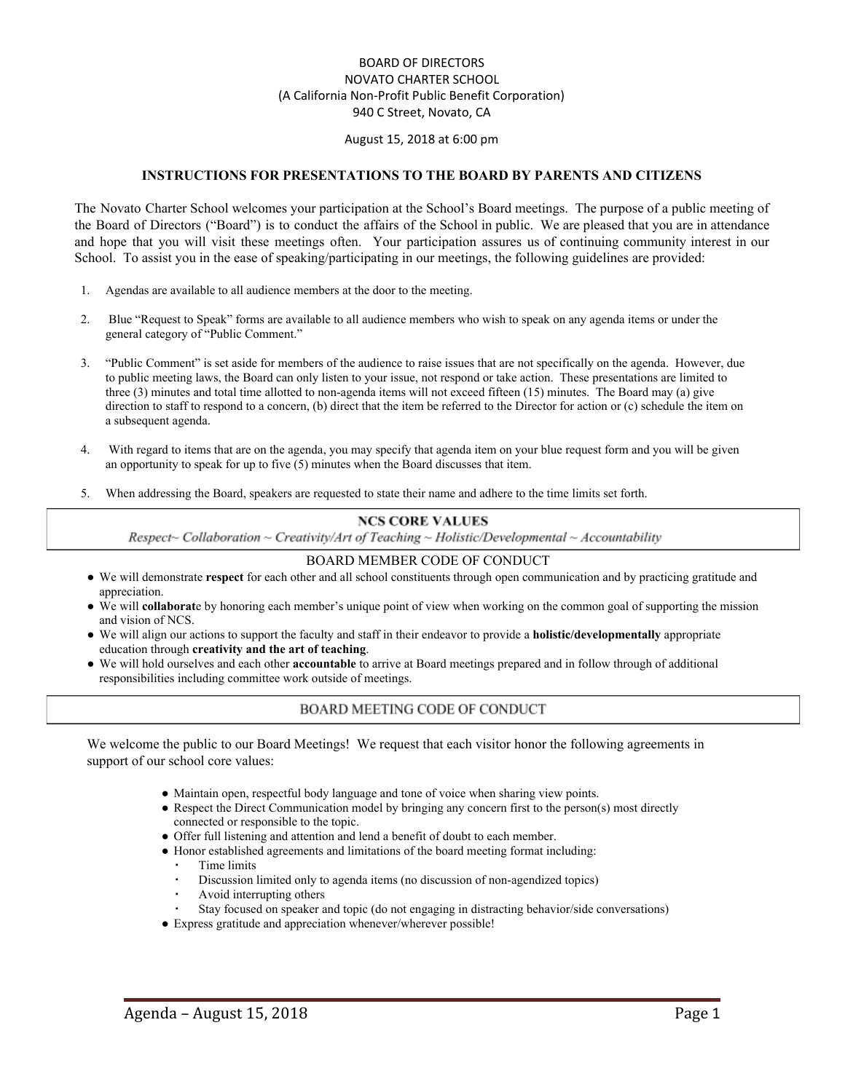#### BOARD OF DIRECTORS NOVATO CHARTER SCHOOL (A California Non-Profit Public Benefit Corporation) 940 C Street, Novato, CA

#### August 15, 2018 at 6:00 pm

#### **INSTRUCTIONS FOR PRESENTATIONS TO THE BOARD BY PARENTS AND CITIZENS**

The Novato Charter School welcomes your participation at the School's Board meetings. The purpose of a public meeting of the Board of Directors ("Board") is to conduct the affairs of the School in public. We are pleased that you are in attendance and hope that you will visit these meetings often. Your participation assures us of continuing community interest in our School. To assist you in the ease of speaking/participating in our meetings, the following guidelines are provided:

- 1. Agendas are available to all audience members at the door to the meeting.
- 2. Blue "Request to Speak" forms are available to all audience members who wish to speak on any agenda items or under the general category of "Public Comment."
- 3. "Public Comment" is set aside for members of the audience to raise issues that are not specifically on the agenda. However, due to public meeting laws, the Board can only listen to your issue, not respond or take action. These presentations are limited to three (3) minutes and total time allotted to non-agenda items will not exceed fifteen (15) minutes. The Board may (a) give direction to staff to respond to a concern, (b) direct that the item be referred to the Director for action or (c) schedule the item on a subsequent agenda.
- 4. With regard to items that are on the agenda, you may specify that agenda item on your blue request form and you will be given an opportunity to speak for up to five (5) minutes when the Board discusses that item.
- 5. When addressing the Board, speakers are requested to state their name and adhere to the time limits set forth.

#### **NCS CORE VALUES**

Respect~ Collaboration ~ Creativity/Art of Teaching ~ Holistic/Developmental ~ Accountability

#### BOARD MEMBER CODE OF CONDUCT

- We will demonstrate **respect** for each other and all school constituents through open communication and by practicing gratitude and appreciation.
- We will **collaborat**e by honoring each member's unique point of view when working on the common goal of supporting the mission and vision of NCS.
- We will align our actions to support the faculty and staff in their endeavor to provide a **holistic/developmentally** appropriate education through **creativity and the art of teaching**.
- We will hold ourselves and each other **accountable** to arrive at Board meetings prepared and in follow through of additional responsibilities including committee work outside of meetings.

#### BOARD MEETING CODE OF CONDUCT

We welcome the public to our Board Meetings! We request that each visitor honor the following agreements in support of our school core values:

- Maintain open, respectful body language and tone of voice when sharing view points.
- Respect the Direct Communication model by bringing any concern first to the person(s) most directly connected or responsible to the topic.
- Offer full listening and attention and lend a benefit of doubt to each member.
- Honor established agreements and limitations of the board meeting format including:
	- Time limits
	- Discussion limited only to agenda items (no discussion of non-agendized topics)
	- Avoid interrupting others
	- Stay focused on speaker and topic (do not engaging in distracting behavior/side conversations)
- Express gratitude and appreciation whenever/wherever possible!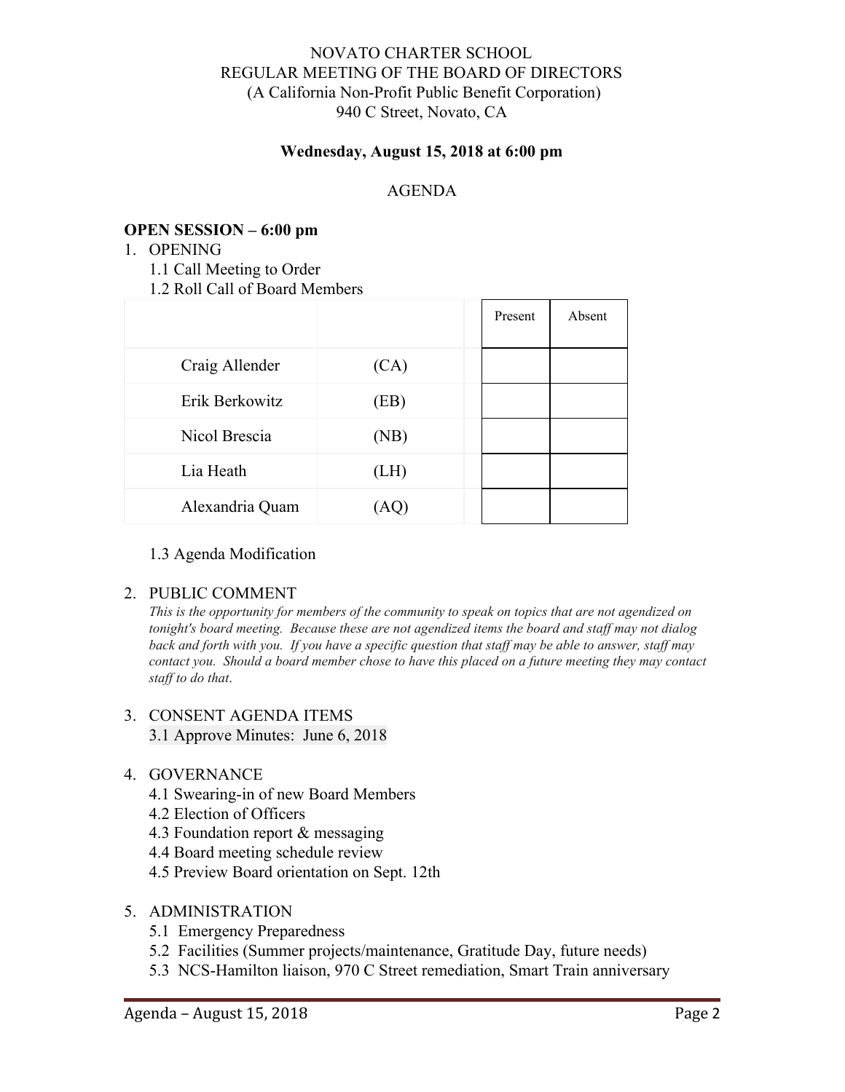# NOVATO CHARTER SCHOOL REGULAR MEETING OF THE BOARD OF DIRECTORS (A California Non-Profit Public Benefit Corporation) 940 C Street, Novato, CA

# **Wednesday, August 15, 2018 at 6:00 pm**

# AGENDA

# **OPEN SESSION – 6:00 pm**

1. OPENING

1.1 Call Meeting to Order

1.2 Roll Call of Board Members

|                 |      | Present | Absent |
|-----------------|------|---------|--------|
| Craig Allender  | (CA) |         |        |
| Erik Berkowitz  | (EB) |         |        |
| Nicol Brescia   | (NB) |         |        |
| Lia Heath       | (LH) |         |        |
| Alexandria Quam | (AQ) |         |        |

## 1.3 Agenda Modification

## 2. PUBLIC COMMENT

*This is the opportunity for members of the community to speak on topics that are not agendized on tonight's board meeting. Because these are not agendized items the board and staf may not dialog* back and forth with you. If you have a specific question that staff may be able to answer, staff may *contact you. Should a board member chose to have this placed on a future meeting they may contact staf to do that*.

## 3. CONSENT AGENDA ITEMS 3.1 Approve Minutes: June 6, 2018

- 4. GOVERNANCE
	- 4.1 Swearing-in of new Board Members
	- 4.2 Election of Officers
	- 4.3 Foundation report & messaging
	- 4.4 Board meeting schedule review
	- 4.5 Preview Board orientation on Sept. 12th
- 5. ADMINISTRATION
	- 5.1 Emergency Preparedness
	- 5.2 Facilities (Summer projects/maintenance, Gratitude Day, future needs)
	- 5.3 NCS-Hamilton liaison, 970 C Street remediation, Smart Train anniversary